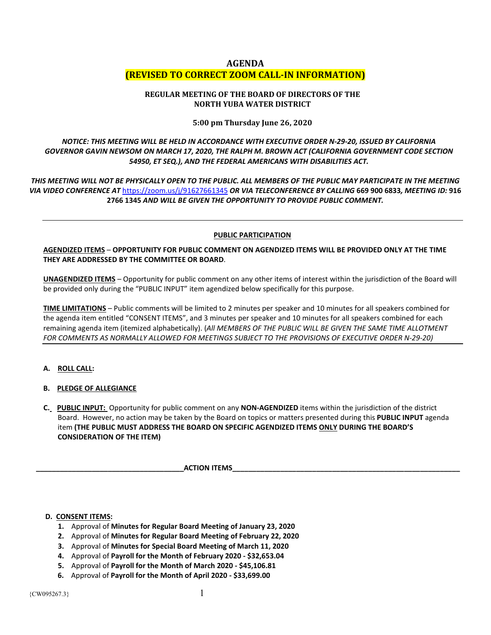# **AGENDA (REVISED TO CORRECT ZOOM CALL-IN INFORMATION)**

## **REGULAR MEETING OF THE BOARD OF DIRECTORS OF THE NORTH YUBA WATER DISTRICT**

## **5:00 pm Thursday June 26, 2020**

# *NOTICE: THIS MEETING WILL BE HELD IN ACCORDANCE WITH EXECUTIVE ORDER N-29-20, ISSUED BY CALIFORNIA GOVERNOR GAVIN NEWSOM ON MARCH 17, 2020, THE RALPH M. BROWN ACT (CALIFORNIA GOVERNMENT CODE SECTION 54950, ET SEQ.), AND THE FEDERAL AMERICANS WITH DISABILITIES ACT.*

*THIS MEETING WILL NOT BE PHYSICALLY OPEN TO THE PUBLIC. ALL MEMBERS OF THE PUBLIC MAY PARTICIPATE IN THE MEETING VIA VIDEO CONFERENCE AT* <https://zoom.us/j/91627661345> *OR VIA TELECONFERENCE BY CALLING* **669 900 6833***, MEETING ID:* **916 2766 1345** *AND WILL BE GIVEN THE OPPORTUNITY TO PROVIDE PUBLIC COMMENT.*

### **PUBLIC PARTICIPATION**

## **AGENDIZED ITEMS** – **OPPORTUNITY FOR PUBLIC COMMENT ON AGENDIZED ITEMS WILL BE PROVIDED ONLY AT THE TIME THEY ARE ADDRESSED BY THE COMMITTEE OR BOARD**.

**UNAGENDIZED ITEMS** – Opportunity for public comment on any other items of interest within the jurisdiction of the Board will be provided only during the "PUBLIC INPUT" item agendized below specifically for this purpose.

**TIME LIMITATIONS** – Public comments will be limited to 2 minutes per speaker and 10 minutes for all speakers combined for the agenda item entitled "CONSENT ITEMS", and 3 minutes per speaker and 10 minutes for all speakers combined for each remaining agenda item (itemized alphabetically). (*All MEMBERS OF THE PUBLIC WILL BE GIVEN THE SAME TIME ALLOTMENT FOR COMMENTS AS NORMALLY ALLOWED FOR MEETINGS SUBJECT TO THE PROVISIONS OF EXECUTIVE ORDER N-29-20)*

- **A. ROLL CALL:**
- **B. PLEDGE OF ALLEGIANCE**
- **C. PUBLIC INPUT:** Opportunity for public comment on any **NON-AGENDIZED** items within the jurisdiction of the district Board. However, no action may be taken by the Board on topics or matters presented during this **PUBLIC INPUT** agenda item **(THE PUBLIC MUST ADDRESS THE BOARD ON SPECIFIC AGENDIZED ITEMS ONLY DURING THE BOARD'S CONSIDERATION OF THE ITEM)**

**ACTION ITEMS** 

#### **D. CONSENT ITEMS:**

- **1.** Approval of **Minutes for Regular Board Meeting of January 23, 2020**
- **2.** Approval of **Minutes for Regular Board Meeting of February 22, 2020**
- **3.** Approval of **Minutes for Special Board Meeting of March 11, 2020**
- **4.** Approval of **Payroll for the Month of February 2020 - \$32,653.04**
- **5.** Approval of **Payroll for the Month of March 2020 - \$45,106.81**
- **6.** Approval of **Payroll for the Month of April 2020 - \$33,699.00**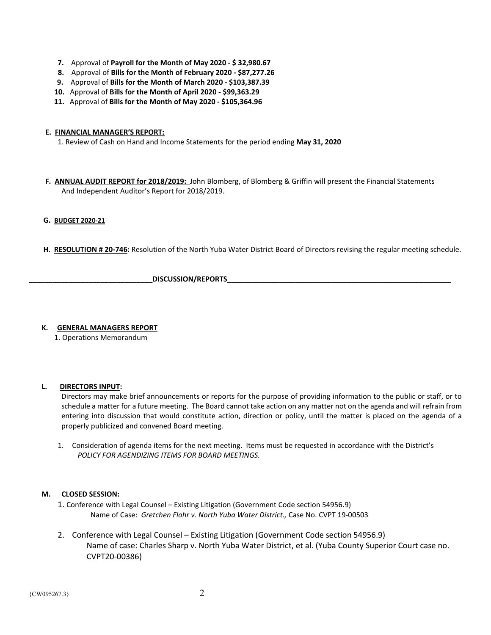- **7.** Approval of **Payroll for the Month of May 2020 - \$ 32,980.67**
- **8.** Approval of **Bills for the Month of February 2020 - \$87,277.26**
- **9.** Approval of **Bills for the Month of March 2020 - \$103,387.39**
- **10.** Approval of **Bills for the Month of April 2020 - \$99,363.29**
- **11.** Approval of **Bills for the Month of May 2020 - \$105,364.96**
- **E. FINANCIAL MANAGER'S REPORT:**

1. Review of Cash on Hand and Income Statements for the period ending **May 31, 2020**

 **F. ANNUAL AUDIT REPORT for 2018/2019:** John Blomberg, of Blomberg & Griffin will present the Financial Statements And Independent Auditor's Report for 2018/2019.

### **G. BUDGET 2020-21**

**H**. **RESOLUTION # 20-746:** Resolution of the North Yuba Water District Board of Directors revising the regular meeting schedule.

DISCUSSION/REPORTS

## **K. GENERAL MANAGERS REPORT**

1. Operations Memorandum

#### **L. DIRECTORS INPUT:**

Directors may make brief announcements or reports for the purpose of providing information to the public or staff, or to schedule a matter for a future meeting. The Board cannot take action on any matter not on the agenda and will refrain from entering into discussion that would constitute action, direction or policy, until the matter is placed on the agenda of a properly publicized and convened Board meeting.

1. Consideration of agenda items for the next meeting. Items must be requested in accordance with the District's  *POLICY FOR AGENDIZING ITEMS FOR BOARD MEETINGS.*

## **M. CLOSED SESSION:**

- 1. Conference with Legal Counsel Existing Litigation (Government Code section 54956.9) Name of Case: *Gretchen Flohr v. North Yuba Water District.,* Case No. CVPT 19-00503
- 2. Conference with Legal Counsel Existing Litigation (Government Code section 54956.9) Name of case: Charles Sharp v. North Yuba Water District, et al. (Yuba County Superior Court case no. CVPT20-00386)